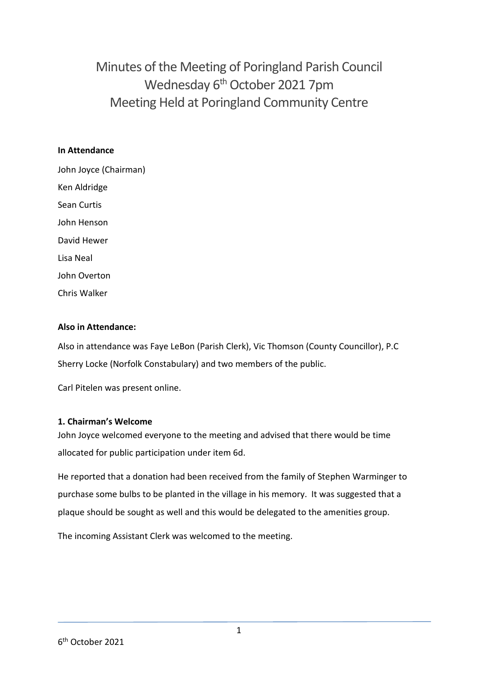Minutes of the Meeting of Poringland Parish Council Wednesday 6<sup>th</sup> October 2021 7pm Meeting Held at Poringland Community Centre

#### **In Attendance**

John Joyce (Chairman) Ken Aldridge Sean Curtis John Henson David Hewer Lisa Neal John Overton Chris Walker

#### **Also in Attendance:**

Also in attendance was Faye LeBon (Parish Clerk), Vic Thomson (County Councillor), P.C Sherry Locke (Norfolk Constabulary) and two members of the public.

Carl Pitelen was present online.

#### **1. Chairman's Welcome**

John Joyce welcomed everyone to the meeting and advised that there would be time allocated for public participation under item 6d.

He reported that a donation had been received from the family of Stephen Warminger to purchase some bulbs to be planted in the village in his memory. It was suggested that a plaque should be sought as well and this would be delegated to the amenities group.

The incoming Assistant Clerk was welcomed to the meeting.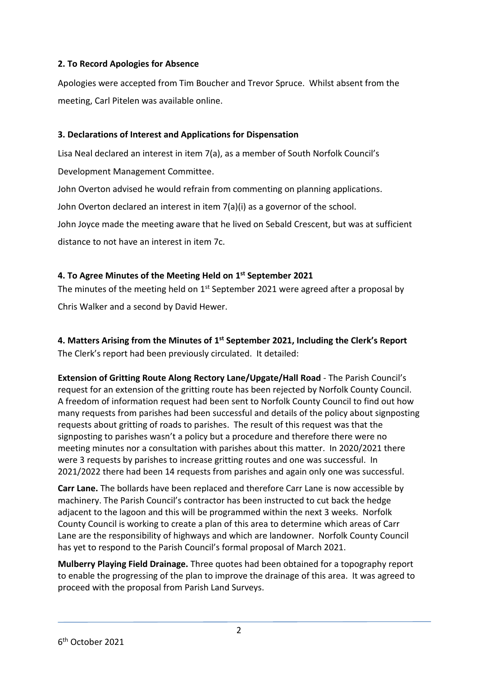# **2. To Record Apologies for Absence**

Apologies were accepted from Tim Boucher and Trevor Spruce. Whilst absent from the meeting, Carl Pitelen was available online.

# **3. Declarations of Interest and Applications for Dispensation**

Lisa Neal declared an interest in item 7(a), as a member of South Norfolk Council's

Development Management Committee.

John Overton advised he would refrain from commenting on planning applications.

John Overton declared an interest in item 7(a)(i) as a governor of the school.

John Joyce made the meeting aware that he lived on Sebald Crescent, but was at sufficient distance to not have an interest in item 7c.

# **4. To Agree Minutes of the Meeting Held on 1 st September 2021**

The minutes of the meeting held on  $1<sup>st</sup>$  September 2021 were agreed after a proposal by

Chris Walker and a second by David Hewer.

**4. Matters Arising from the Minutes of 1 st September 2021, Including the Clerk's Report** The Clerk's report had been previously circulated. It detailed:

**Extension of Gritting Route Along Rectory Lane/Upgate/Hall Road** - The Parish Council's request for an extension of the gritting route has been rejected by Norfolk County Council. A freedom of information request had been sent to Norfolk County Council to find out how many requests from parishes had been successful and details of the policy about signposting requests about gritting of roads to parishes. The result of this request was that the signposting to parishes wasn't a policy but a procedure and therefore there were no meeting minutes nor a consultation with parishes about this matter. In 2020/2021 there were 3 requests by parishes to increase gritting routes and one was successful. In 2021/2022 there had been 14 requests from parishes and again only one was successful.

**Carr Lane.** The bollards have been replaced and therefore Carr Lane is now accessible by machinery. The Parish Council's contractor has been instructed to cut back the hedge adjacent to the lagoon and this will be programmed within the next 3 weeks. Norfolk County Council is working to create a plan of this area to determine which areas of Carr Lane are the responsibility of highways and which are landowner. Norfolk County Council has yet to respond to the Parish Council's formal proposal of March 2021.

**Mulberry Playing Field Drainage.** Three quotes had been obtained for a topography report to enable the progressing of the plan to improve the drainage of this area. It was agreed to proceed with the proposal from Parish Land Surveys.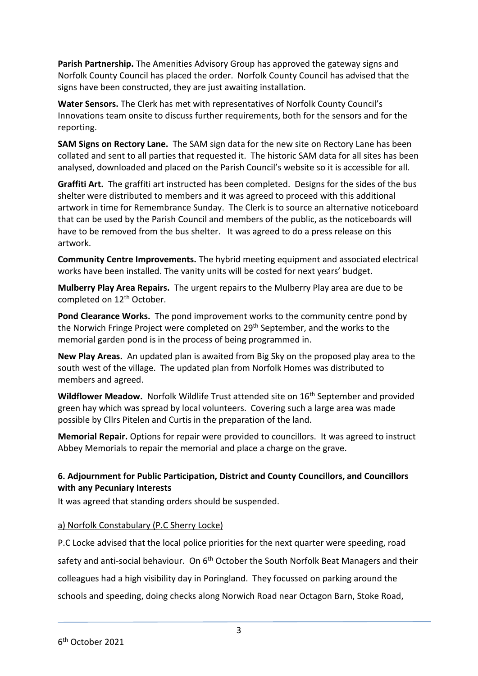**Parish Partnership.** The Amenities Advisory Group has approved the gateway signs and Norfolk County Council has placed the order. Norfolk County Council has advised that the signs have been constructed, they are just awaiting installation.

**Water Sensors.** The Clerk has met with representatives of Norfolk County Council's Innovations team onsite to discuss further requirements, both for the sensors and for the reporting.

**SAM Signs on Rectory Lane.** The SAM sign data for the new site on Rectory Lane has been collated and sent to all parties that requested it. The historic SAM data for all sites has been analysed, downloaded and placed on the Parish Council's website so it is accessible for all.

**Graffiti Art.** The graffiti art instructed has been completed. Designs for the sides of the bus shelter were distributed to members and it was agreed to proceed with this additional artwork in time for Remembrance Sunday. The Clerk is to source an alternative noticeboard that can be used by the Parish Council and members of the public, as the noticeboards will have to be removed from the bus shelter. It was agreed to do a press release on this artwork.

**Community Centre Improvements.** The hybrid meeting equipment and associated electrical works have been installed. The vanity units will be costed for next years' budget.

**Mulberry Play Area Repairs.** The urgent repairs to the Mulberry Play area are due to be completed on 12<sup>th</sup> October.

**Pond Clearance Works.** The pond improvement works to the community centre pond by the Norwich Fringe Project were completed on 29th September, and the works to the memorial garden pond is in the process of being programmed in.

**New Play Areas.** An updated plan is awaited from Big Sky on the proposed play area to the south west of the village. The updated plan from Norfolk Homes was distributed to members and agreed.

**Wildflower Meadow.** Norfolk Wildlife Trust attended site on 16th September and provided green hay which was spread by local volunteers. Covering such a large area was made possible by Cllrs Pitelen and Curtis in the preparation of the land.

**Memorial Repair.** Options for repair were provided to councillors. It was agreed to instruct Abbey Memorials to repair the memorial and place a charge on the grave.

# **6. Adjournment for Public Participation, District and County Councillors, and Councillors with any Pecuniary Interests**

It was agreed that standing orders should be suspended.

# a) Norfolk Constabulary (P.C Sherry Locke)

P.C Locke advised that the local police priorities for the next quarter were speeding, road safety and anti-social behaviour. On 6<sup>th</sup> October the South Norfolk Beat Managers and their colleagues had a high visibility day in Poringland. They focussed on parking around the schools and speeding, doing checks along Norwich Road near Octagon Barn, Stoke Road,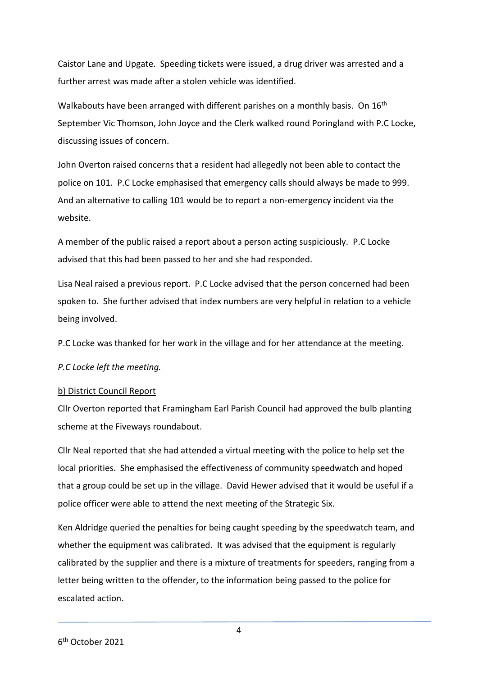Caistor Lane and Upgate. Speeding tickets were issued, a drug driver was arrested and a further arrest was made after a stolen vehicle was identified.

Walkabouts have been arranged with different parishes on a monthly basis. On 16<sup>th</sup> September Vic Thomson, John Joyce and the Clerk walked round Poringland with P.C Locke, discussing issues of concern.

John Overton raised concerns that a resident had allegedly not been able to contact the police on 101. P.C Locke emphasised that emergency calls should always be made to 999. And an alternative to calling 101 would be to report a non-emergency incident via the website.

A member of the public raised a report about a person acting suspiciously. P.C Locke advised that this had been passed to her and she had responded.

Lisa Neal raised a previous report. P.C Locke advised that the person concerned had been spoken to. She further advised that index numbers are very helpful in relation to a vehicle being involved.

P.C Locke was thanked for her work in the village and for her attendance at the meeting.

*P.C Locke left the meeting.* 

#### b) District Council Report

Cllr Overton reported that Framingham Earl Parish Council had approved the bulb planting scheme at the Fiveways roundabout.

Cllr Neal reported that she had attended a virtual meeting with the police to help set the local priorities. She emphasised the effectiveness of community speedwatch and hoped that a group could be set up in the village. David Hewer advised that it would be useful if a police officer were able to attend the next meeting of the Strategic Six.

Ken Aldridge queried the penalties for being caught speeding by the speedwatch team, and whether the equipment was calibrated. It was advised that the equipment is regularly calibrated by the supplier and there is a mixture of treatments for speeders, ranging from a letter being written to the offender, to the information being passed to the police for escalated action.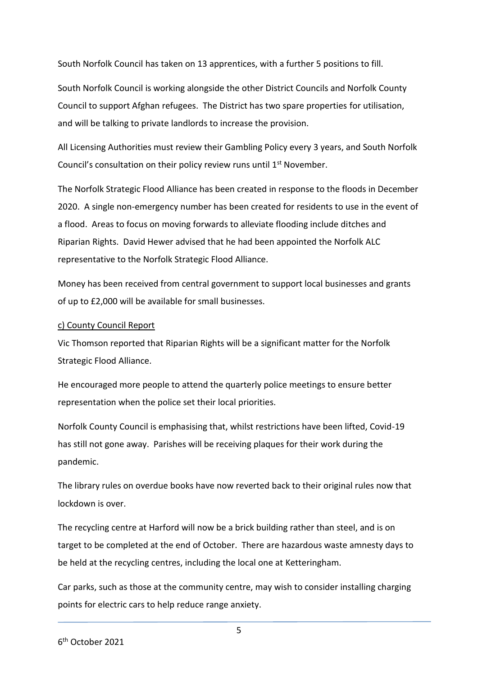South Norfolk Council has taken on 13 apprentices, with a further 5 positions to fill.

South Norfolk Council is working alongside the other District Councils and Norfolk County Council to support Afghan refugees. The District has two spare properties for utilisation, and will be talking to private landlords to increase the provision.

All Licensing Authorities must review their Gambling Policy every 3 years, and South Norfolk Council's consultation on their policy review runs until 1<sup>st</sup> November.

The Norfolk Strategic Flood Alliance has been created in response to the floods in December 2020. A single non-emergency number has been created for residents to use in the event of a flood. Areas to focus on moving forwards to alleviate flooding include ditches and Riparian Rights. David Hewer advised that he had been appointed the Norfolk ALC representative to the Norfolk Strategic Flood Alliance.

Money has been received from central government to support local businesses and grants of up to £2,000 will be available for small businesses.

#### c) County Council Report

Vic Thomson reported that Riparian Rights will be a significant matter for the Norfolk Strategic Flood Alliance.

He encouraged more people to attend the quarterly police meetings to ensure better representation when the police set their local priorities.

Norfolk County Council is emphasising that, whilst restrictions have been lifted, Covid-19 has still not gone away. Parishes will be receiving plaques for their work during the pandemic.

The library rules on overdue books have now reverted back to their original rules now that lockdown is over.

The recycling centre at Harford will now be a brick building rather than steel, and is on target to be completed at the end of October. There are hazardous waste amnesty days to be held at the recycling centres, including the local one at Ketteringham.

Car parks, such as those at the community centre, may wish to consider installing charging points for electric cars to help reduce range anxiety.

5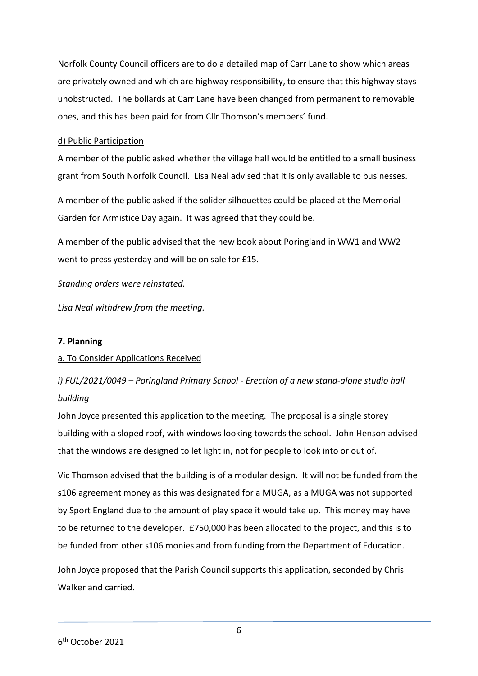Norfolk County Council officers are to do a detailed map of Carr Lane to show which areas are privately owned and which are highway responsibility, to ensure that this highway stays unobstructed. The bollards at Carr Lane have been changed from permanent to removable ones, and this has been paid for from Cllr Thomson's members' fund.

### d) Public Participation

A member of the public asked whether the village hall would be entitled to a small business grant from South Norfolk Council. Lisa Neal advised that it is only available to businesses.

A member of the public asked if the solider silhouettes could be placed at the Memorial Garden for Armistice Day again. It was agreed that they could be.

A member of the public advised that the new book about Poringland in WW1 and WW2 went to press yesterday and will be on sale for £15.

*Standing orders were reinstated.* 

*Lisa Neal withdrew from the meeting.* 

## **7. Planning**

## a. To Consider Applications Received

*i) FUL/2021/0049 – Poringland Primary School - Erection of a new stand-alone studio hall building*

John Joyce presented this application to the meeting. The proposal is a single storey building with a sloped roof, with windows looking towards the school. John Henson advised that the windows are designed to let light in, not for people to look into or out of.

Vic Thomson advised that the building is of a modular design. It will not be funded from the s106 agreement money as this was designated for a MUGA, as a MUGA was not supported by Sport England due to the amount of play space it would take up. This money may have to be returned to the developer. £750,000 has been allocated to the project, and this is to be funded from other s106 monies and from funding from the Department of Education.

John Joyce proposed that the Parish Council supports this application, seconded by Chris Walker and carried.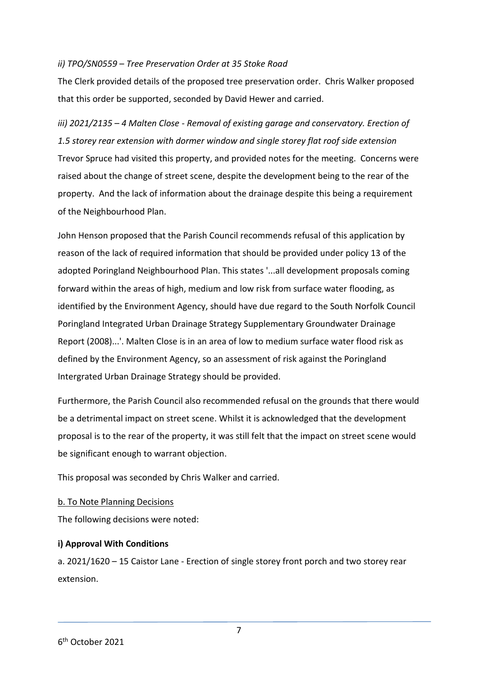#### *ii) TPO/SN0559 – Tree Preservation Order at 35 Stoke Road*

The Clerk provided details of the proposed tree preservation order. Chris Walker proposed that this order be supported, seconded by David Hewer and carried.

*iii) 2021/2135 – 4 Malten Close - Removal of existing garage and conservatory. Erection of 1.5 storey rear extension with dormer window and single storey flat roof side extension* Trevor Spruce had visited this property, and provided notes for the meeting. Concerns were raised about the change of street scene, despite the development being to the rear of the property. And the lack of information about the drainage despite this being a requirement of the Neighbourhood Plan.

John Henson proposed that the Parish Council recommends refusal of this application by reason of the lack of required information that should be provided under policy 13 of the adopted Poringland Neighbourhood Plan. This states '...all development proposals coming forward within the areas of high, medium and low risk from surface water flooding, as identified by the Environment Agency, should have due regard to the South Norfolk Council Poringland Integrated Urban Drainage Strategy Supplementary Groundwater Drainage Report (2008)...'. Malten Close is in an area of low to medium surface water flood risk as defined by the Environment Agency, so an assessment of risk against the Poringland Intergrated Urban Drainage Strategy should be provided.

Furthermore, the Parish Council also recommended refusal on the grounds that there would be a detrimental impact on street scene. Whilst it is acknowledged that the development proposal is to the rear of the property, it was still felt that the impact on street scene would be significant enough to warrant objection.

This proposal was seconded by Chris Walker and carried.

## b. To Note Planning Decisions

The following decisions were noted:

## **i) Approval With Conditions**

a. 2021/1620 – 15 Caistor Lane - Erection of single storey front porch and two storey rear extension.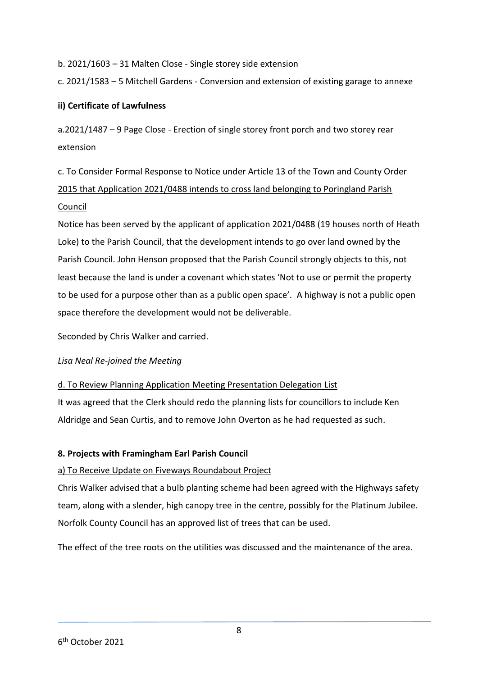b. 2021/1603 – 31 Malten Close - Single storey side extension

c. 2021/1583 – 5 Mitchell Gardens - Conversion and extension of existing garage to annexe

# **ii) Certificate of Lawfulness**

a.2021/1487 – 9 Page Close - Erection of single storey front porch and two storey rear extension

# c. To Consider Formal Response to Notice under Article 13 of the Town and County Order 2015 that Application 2021/0488 intends to cross land belonging to Poringland Parish Council

Notice has been served by the applicant of application 2021/0488 (19 houses north of Heath Loke) to the Parish Council, that the development intends to go over land owned by the Parish Council. John Henson proposed that the Parish Council strongly objects to this, not least because the land is under a covenant which states 'Not to use or permit the property to be used for a purpose other than as a public open space'. A highway is not a public open space therefore the development would not be deliverable.

Seconded by Chris Walker and carried.

## *Lisa Neal Re-joined the Meeting*

## d. To Review Planning Application Meeting Presentation Delegation List

It was agreed that the Clerk should redo the planning lists for councillors to include Ken Aldridge and Sean Curtis, and to remove John Overton as he had requested as such.

# **8. Projects with Framingham Earl Parish Council**

# a) To Receive Update on Fiveways Roundabout Project

Chris Walker advised that a bulb planting scheme had been agreed with the Highways safety team, along with a slender, high canopy tree in the centre, possibly for the Platinum Jubilee. Norfolk County Council has an approved list of trees that can be used.

The effect of the tree roots on the utilities was discussed and the maintenance of the area.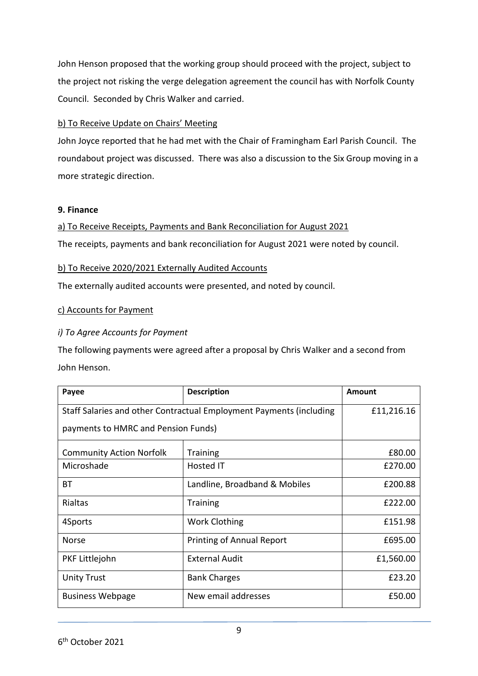John Henson proposed that the working group should proceed with the project, subject to the project not risking the verge delegation agreement the council has with Norfolk County Council. Seconded by Chris Walker and carried.

## b) To Receive Update on Chairs' Meeting

John Joyce reported that he had met with the Chair of Framingham Earl Parish Council. The roundabout project was discussed. There was also a discussion to the Six Group moving in a more strategic direction.

#### **9. Finance**

a) To Receive Receipts, Payments and Bank Reconciliation for August 2021

The receipts, payments and bank reconciliation for August 2021 were noted by council.

## b) To Receive 2020/2021 Externally Audited Accounts

The externally audited accounts were presented, and noted by council.

## c) Accounts for Payment

## *i) To Agree Accounts for Payment*

The following payments were agreed after a proposal by Chris Walker and a second from John Henson.

| Payee                                                               | <b>Description</b>               | Amount     |
|---------------------------------------------------------------------|----------------------------------|------------|
| Staff Salaries and other Contractual Employment Payments (including |                                  | £11,216.16 |
| payments to HMRC and Pension Funds)                                 |                                  |            |
| <b>Community Action Norfolk</b>                                     | <b>Training</b>                  | £80.00     |
| Microshade                                                          | Hosted IT                        | £270.00    |
| BТ                                                                  | Landline, Broadband & Mobiles    | £200.88    |
| <b>Rialtas</b>                                                      | <b>Training</b>                  | £222.00    |
| 4Sports                                                             | <b>Work Clothing</b>             | £151.98    |
| <b>Norse</b>                                                        | <b>Printing of Annual Report</b> | £695.00    |
| PKF Littlejohn                                                      | <b>External Audit</b>            | £1,560.00  |
| <b>Unity Trust</b>                                                  | <b>Bank Charges</b>              | £23.20     |
| <b>Business Webpage</b>                                             | New email addresses              | £50.00     |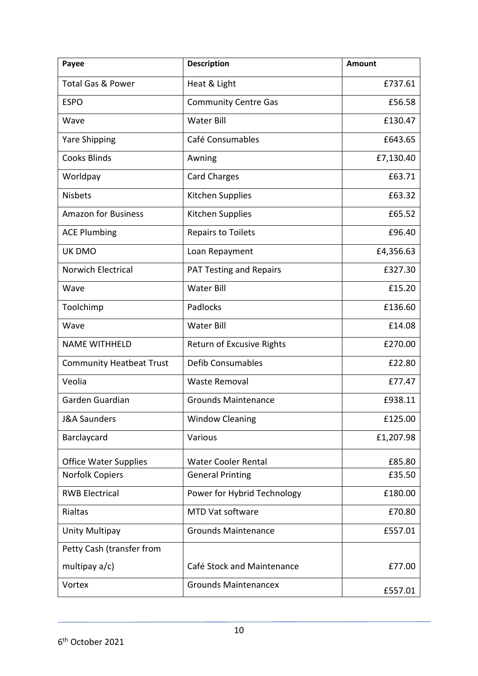| Payee                           | <b>Description</b>               | Amount    |
|---------------------------------|----------------------------------|-----------|
| <b>Total Gas &amp; Power</b>    | Heat & Light                     | £737.61   |
| <b>ESPO</b>                     | <b>Community Centre Gas</b>      | £56.58    |
| Wave                            | <b>Water Bill</b>                | £130.47   |
| <b>Yare Shipping</b>            | Café Consumables                 | £643.65   |
| <b>Cooks Blinds</b>             | Awning                           | £7,130.40 |
| Worldpay                        | <b>Card Charges</b>              | £63.71    |
| <b>Nisbets</b>                  | Kitchen Supplies                 | £63.32    |
| <b>Amazon for Business</b>      | Kitchen Supplies                 | £65.52    |
| <b>ACE Plumbing</b>             | <b>Repairs to Toilets</b>        | £96.40    |
| UK DMO                          | Loan Repayment                   | £4,356.63 |
| Norwich Electrical              | <b>PAT Testing and Repairs</b>   | £327.30   |
| Wave                            | Water Bill                       | £15.20    |
| Toolchimp                       | Padlocks                         | £136.60   |
| Wave                            | <b>Water Bill</b>                | £14.08    |
| <b>NAME WITHHELD</b>            | <b>Return of Excusive Rights</b> | £270.00   |
| <b>Community Heatbeat Trust</b> | <b>Defib Consumables</b>         | £22.80    |
| Veolia                          | <b>Waste Removal</b>             | £77.47    |
| Garden Guardian                 | <b>Grounds Maintenance</b>       | £938.11   |
| J&A Saunders                    | <b>Window Cleaning</b>           | £125.00   |
| Barclaycard                     | Various                          | £1,207.98 |
| <b>Office Water Supplies</b>    | <b>Water Cooler Rental</b>       | £85.80    |
| Norfolk Copiers                 | <b>General Printing</b>          | £35.50    |
| <b>RWB Electrical</b>           | Power for Hybrid Technology      | £180.00   |
| Rialtas                         | MTD Vat software                 | £70.80    |
| Unity Multipay                  | <b>Grounds Maintenance</b>       | £557.01   |
| Petty Cash (transfer from       |                                  |           |
| multipay a/c)                   | Café Stock and Maintenance       | £77.00    |
| Vortex                          | <b>Grounds Maintenancex</b>      | £557.01   |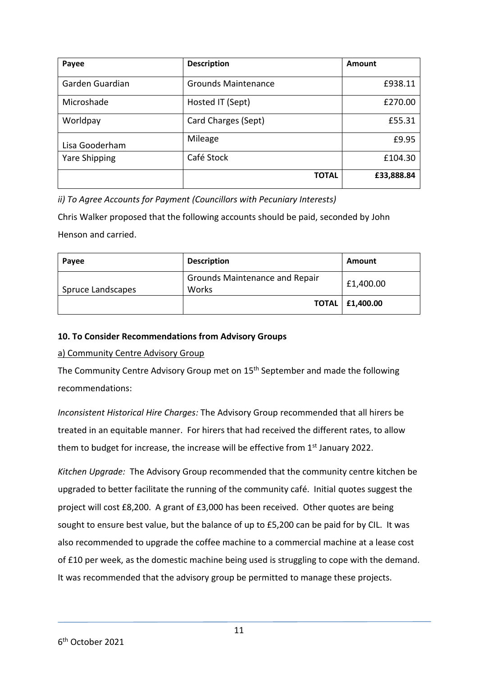| Payee                | <b>Description</b>         | Amount     |
|----------------------|----------------------------|------------|
| Garden Guardian      | <b>Grounds Maintenance</b> | £938.11    |
| Microshade           | Hosted IT (Sept)           | £270.00    |
| Worldpay             | Card Charges (Sept)        | £55.31     |
| Lisa Gooderham       | Mileage                    | £9.95      |
| <b>Yare Shipping</b> | Café Stock                 | £104.30    |
|                      | <b>TOTAL</b>               | £33,888.84 |

*ii) To Agree Accounts for Payment (Councillors with Pecuniary Interests)*

Chris Walker proposed that the following accounts should be paid, seconded by John Henson and carried.

| Payee             | <b>Description</b>                      | Amount                   |
|-------------------|-----------------------------------------|--------------------------|
| Spruce Landscapes | Grounds Maintenance and Repair<br>Works | £1,400.00                |
|                   |                                         | <b>TOTAL   £1,400.00</b> |

# **10. To Consider Recommendations from Advisory Groups**

## a) Community Centre Advisory Group

The Community Centre Advisory Group met on 15<sup>th</sup> September and made the following recommendations:

*Inconsistent Historical Hire Charges:* The Advisory Group recommended that all hirers be treated in an equitable manner. For hirers that had received the different rates, to allow them to budget for increase, the increase will be effective from  $1<sup>st</sup>$  January 2022.

*Kitchen Upgrade:* The Advisory Group recommended that the community centre kitchen be upgraded to better facilitate the running of the community café. Initial quotes suggest the project will cost £8,200. A grant of £3,000 has been received. Other quotes are being sought to ensure best value, but the balance of up to £5,200 can be paid for by CIL. It was also recommended to upgrade the coffee machine to a commercial machine at a lease cost of £10 per week, as the domestic machine being used is struggling to cope with the demand. It was recommended that the advisory group be permitted to manage these projects.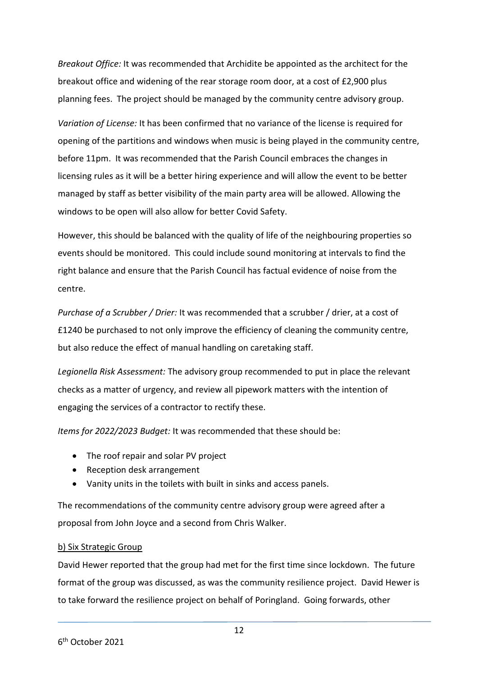*Breakout Office:* It was recommended that Archidite be appointed as the architect for the breakout office and widening of the rear storage room door, at a cost of £2,900 plus planning fees. The project should be managed by the community centre advisory group.

*Variation of License:* It has been confirmed that no variance of the license is required for opening of the partitions and windows when music is being played in the community centre, before 11pm. It was recommended that the Parish Council embraces the changes in licensing rules as it will be a better hiring experience and will allow the event to be better managed by staff as better visibility of the main party area will be allowed. Allowing the windows to be open will also allow for better Covid Safety.

However, this should be balanced with the quality of life of the neighbouring properties so events should be monitored. This could include sound monitoring at intervals to find the right balance and ensure that the Parish Council has factual evidence of noise from the centre.

*Purchase of a Scrubber / Drier:* It was recommended that a scrubber / drier, at a cost of £1240 be purchased to not only improve the efficiency of cleaning the community centre, but also reduce the effect of manual handling on caretaking staff.

*Legionella Risk Assessment:* The advisory group recommended to put in place the relevant checks as a matter of urgency, and review all pipework matters with the intention of engaging the services of a contractor to rectify these.

*Items for 2022/2023 Budget:* It was recommended that these should be:

- The roof repair and solar PV project
- Reception desk arrangement
- Vanity units in the toilets with built in sinks and access panels.

The recommendations of the community centre advisory group were agreed after a proposal from John Joyce and a second from Chris Walker.

#### b) Six Strategic Group

David Hewer reported that the group had met for the first time since lockdown. The future format of the group was discussed, as was the community resilience project. David Hewer is to take forward the resilience project on behalf of Poringland. Going forwards, other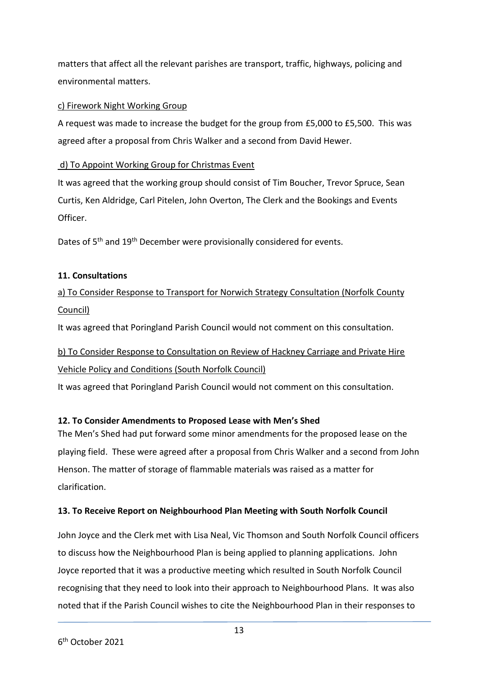matters that affect all the relevant parishes are transport, traffic, highways, policing and environmental matters.

# c) Firework Night Working Group

A request was made to increase the budget for the group from £5,000 to £5,500. This was agreed after a proposal from Chris Walker and a second from David Hewer.

# d) To Appoint Working Group for Christmas Event

It was agreed that the working group should consist of Tim Boucher, Trevor Spruce, Sean Curtis, Ken Aldridge, Carl Pitelen, John Overton, The Clerk and the Bookings and Events Officer.

Dates of 5<sup>th</sup> and 19<sup>th</sup> December were provisionally considered for events.

# **11. Consultations**

# a) To Consider Response to Transport for Norwich Strategy Consultation (Norfolk County Council)

It was agreed that Poringland Parish Council would not comment on this consultation.

# b) To Consider Response to Consultation on Review of Hackney Carriage and Private Hire Vehicle Policy and Conditions (South Norfolk Council)

It was agreed that Poringland Parish Council would not comment on this consultation.

# **12. To Consider Amendments to Proposed Lease with Men's Shed**

The Men's Shed had put forward some minor amendments for the proposed lease on the playing field. These were agreed after a proposal from Chris Walker and a second from John Henson. The matter of storage of flammable materials was raised as a matter for clarification.

# **13. To Receive Report on Neighbourhood Plan Meeting with South Norfolk Council**

John Joyce and the Clerk met with Lisa Neal, Vic Thomson and South Norfolk Council officers to discuss how the Neighbourhood Plan is being applied to planning applications. John Joyce reported that it was a productive meeting which resulted in South Norfolk Council recognising that they need to look into their approach to Neighbourhood Plans. It was also noted that if the Parish Council wishes to cite the Neighbourhood Plan in their responses to